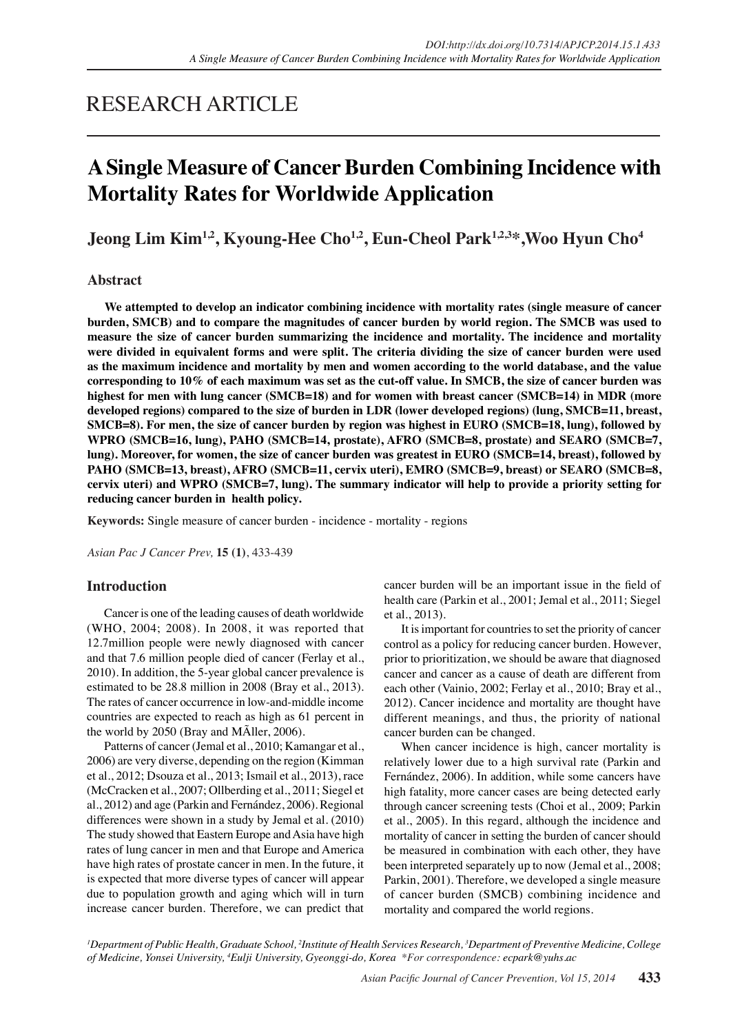# RESEARCH ARTICLE

# **A Single Measure of Cancer Burden Combining Incidence with Mortality Rates for Worldwide Application**

Jeong Lim Kim<sup>1,2</sup>, Kyoung-Hee Cho<sup>1,2</sup>, Eun-Cheol Park<sup>1,2,3\*</sup>, Woo Hyun Cho<sup>4</sup>

## **Abstract**

**We attempted to develop an indicator combining incidence with mortality rates (single measure of cancer burden, SMCB) and to compare the magnitudes of cancer burden by world region. The SMCB was used to measure the size of cancer burden summarizing the incidence and mortality. The incidence and mortality were divided in equivalent forms and were split. The criteria dividing the size of cancer burden were used as the maximum incidence and mortality by men and women according to the world database, and the value corresponding to 10% of each maximum was set as the cut-off value. In SMCB, the size of cancer burden was highest for men with lung cancer (SMCB=18) and for women with breast cancer (SMCB=14) in MDR (more developed regions) compared to the size of burden in LDR (lower developed regions) (lung, SMCB=11, breast, SMCB=8). For men, the size of cancer burden by region was highest in EURO (SMCB=18, lung), followed by WPRO (SMCB=16, lung), PAHO (SMCB=14, prostate), AFRO (SMCB=8, prostate) and SEARO (SMCB=7, lung). Moreover, for women, the size of cancer burden was greatest in EURO (SMCB=14, breast), followed by PAHO (SMCB=13, breast), AFRO (SMCB=11, cervix uteri), EMRO (SMCB=9, breast) or SEARO (SMCB=8, cervix uteri) and WPRO (SMCB=7, lung). The summary indicator will help to provide a priority setting for reducing cancer burden in health policy.**

**Keywords:** Single measure of cancer burden - incidence - mortality - regions

*Asian Pac J Cancer Prev,* **15 (1)**, 433-439

## **Introduction**

Cancer is one of the leading causes of death worldwide (WHO, 2004; 2008). In 2008, it was reported that 12.7million people were newly diagnosed with cancer and that 7.6 million people died of cancer (Ferlay et al., 2010). In addition, the 5-year global cancer prevalence is estimated to be 28.8 million in 2008 (Bray et al., 2013). The rates of cancer occurrence in low-and-middle income countries are expected to reach as high as 61 percent in the world by 2050 (Bray and MÃller, 2006).

Patterns of cancer (Jemal et al., 2010; Kamangar et al., 2006) are very diverse, depending on the region (Kimman et al., 2012; Dsouza et al., 2013; Ismail et al., 2013), race (McCracken et al., 2007; Ollberding et al., 2011; Siegel et al., 2012) and age (Parkin and Fernández, 2006). Regional differences were shown in a study by Jemal et al. (2010) The study showed that Eastern Europe and Asia have high rates of lung cancer in men and that Europe and America have high rates of prostate cancer in men. In the future, it is expected that more diverse types of cancer will appear due to population growth and aging which will in turn increase cancer burden. Therefore, we can predict that cancer burden will be an important issue in the field of health care (Parkin et al., 2001; Jemal et al., 2011; Siegel et al., 2013).

It is important for countries to set the priority of cancer control as a policy for reducing cancer burden. However, prior to prioritization, we should be aware that diagnosed cancer and cancer as a cause of death are different from each other (Vainio, 2002; Ferlay et al., 2010; Bray et al., 2012). Cancer incidence and mortality are thought have different meanings, and thus, the priority of national cancer burden can be changed.

When cancer incidence is high, cancer mortality is relatively lower due to a high survival rate (Parkin and Fernández, 2006). In addition, while some cancers have high fatality, more cancer cases are being detected early through cancer screening tests (Choi et al., 2009; Parkin et al., 2005). In this regard, although the incidence and mortality of cancer in setting the burden of cancer should be measured in combination with each other, they have been interpreted separately up to now (Jemal et al., 2008; Parkin, 2001). Therefore, we developed a single measure of cancer burden (SMCB) combining incidence and mortality and compared the world regions.

*1 Department of Public Health, Graduate School, 2 Institute of Health Services Research, 3 Department of Preventive Medicine, College of Medicine, Yonsei University, 4 Eulji University, Gyeonggi-do, Korea \*For correspondence: ecpark@yuhs.ac*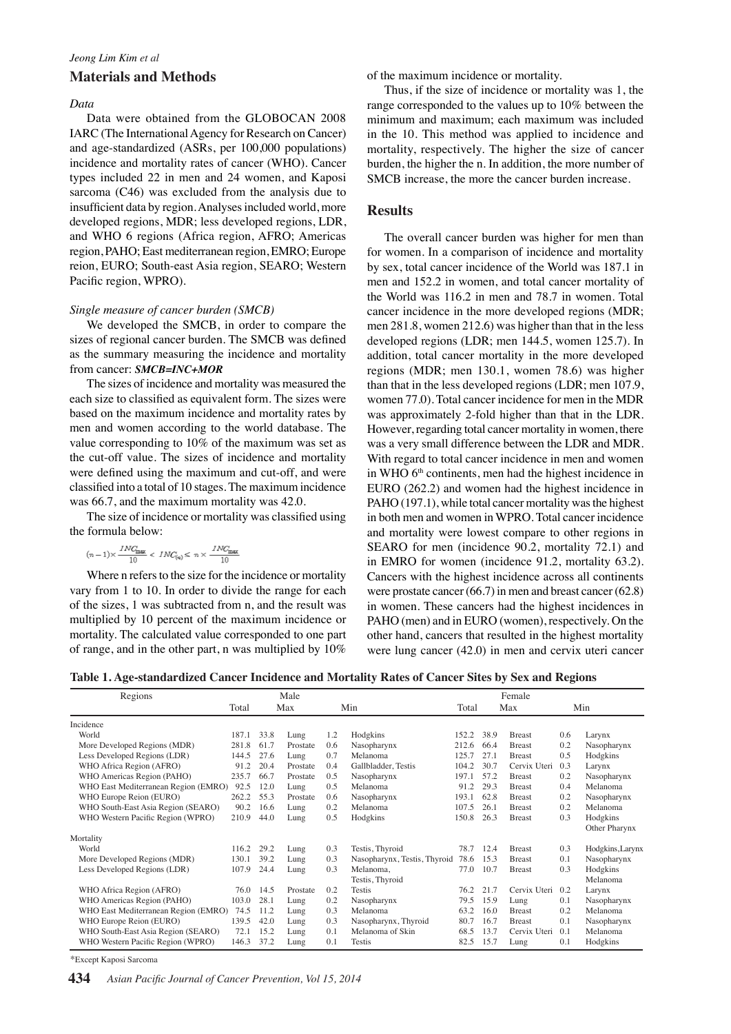## *Jeong Lim Kim et al* **Materials and Methods**

### *Data*

Data were obtained from the GLOBOCAN 2008 IARC (The International Agency for Research on Cancer) and age-standardized (ASRs, per 100,000 populations) incidence and mortality rates of cancer (WHO). Cancer types included 22 in men and 24 women, and Kaposi sarcoma (C46) was excluded from the analysis due to insufficient data by region. Analyses included world, more developed regions, MDR; less developed regions, LDR, and WHO 6 regions (Africa region, AFRO; Americas region, PAHO; East mediterranean region, EMRO; Europe reion, EURO; South-east Asia region, SEARO; Western Pacific region, WPRO).

#### *Single measure of cancer burden (SMCB)*

We developed the SMCB, in order to compare the sizes of regional cancer burden. The SMCB was defined as the summary measuring the incidence and mortality from cancer: *SMCB=INC+MOR*

The sizes of incidence and mortality was measured the each size to classified as equivalent form. The sizes were based on the maximum incidence and mortality rates by men and women according to the world database. The value corresponding to 10% of the maximum was set as the cut-off value. The sizes of incidence and mortality were defined using the maximum and cut-off, and were classified into a total of 10 stages. The maximum incidence was 66.7, and the maximum mortality was 42.0.

The size of incidence or mortality was classified using the formula below:

$$
(n-1) \times \frac{INC_{\max}}{10} < \; INC_{\text{(q)}} \leq \; n \times \frac{INC_{\max}}{10}
$$

Where n refers to the size for the incidence or mortality vary from 1 to 10. In order to divide the range for each of the sizes, 1 was subtracted from n, and the result was multiplied by 10 percent of the maximum incidence or mortality. The calculated value corresponded to one part of range, and in the other part, n was multiplied by 10%

of the maximum incidence or mortality.

Thus, if the size of incidence or mortality was 1, the range corresponded to the values up to 10% between the minimum and maximum; each maximum was included in the 10. This method was applied to incidence and mortality, respectively. The higher the size of cancer burden, the higher the n. In addition, the more number of SMCB increase, the more the cancer burden increase.

## **Results**

The overall cancer burden was higher for men than for women. In a comparison of incidence and mortality by sex, total cancer incidence of the World was 187.1 in men and 152.2 in women, and total cancer mortality of the World was 116.2 in men and 78.7 in women. Total cancer incidence in the more developed regions (MDR; men 281.8, women 212.6) was higher than that in the less developed regions (LDR; men 144.5, women 125.7). In addition, total cancer mortality in the more developed regions (MDR; men 130.1, women 78.6) was higher than that in the less developed regions (LDR; men 107.9, women 77.0). Total cancer incidence for men in the MDR was approximately 2-fold higher than that in the LDR. However, regarding total cancer mortality in women, there was a very small difference between the LDR and MDR. With regard to total cancer incidence in men and women in WHO  $6<sup>th</sup>$  continents, men had the highest incidence in EURO (262.2) and women had the highest incidence in PAHO (197.1), while total cancer mortality was the highest in both men and women in WPRO. Total cancer incidence and mortality were lowest compare to other regions in SEARO for men (incidence 90.2, mortality 72.1) and in EMRO for women (incidence 91.2, mortality 63.2). Cancers with the highest incidence across all continents were prostate cancer (66.7) in men and breast cancer (62.8) in women. These cancers had the highest incidences in PAHO (men) and in EURO (women), respectively. On the other hand, cancers that resulted in the highest mortality were lung cancer (42.0) in men and cervix uteri cancer

|  | Table 1. Age-standardized Cancer Incidence and Mortality Rates of Cancer Sites by Sex and Regions |  |
|--|---------------------------------------------------------------------------------------------------|--|
|  |                                                                                                   |  |

| Regions                              | Male  |      |          |     |                              |       |      | Female         |     |                  |
|--------------------------------------|-------|------|----------|-----|------------------------------|-------|------|----------------|-----|------------------|
|                                      | Total |      | Max      |     | Min                          | Total |      | Max            |     | Min              |
| Incidence                            |       |      |          |     |                              |       |      |                |     |                  |
| World                                | 187.1 | 33.8 | Lung     | 1.2 | Hodgkins                     | 152.2 | 38.9 | <b>Breast</b>  | 0.6 | Larynx           |
| More Developed Regions (MDR)         | 281.8 | 61.7 | Prostate | 0.6 | Nasopharynx                  | 212.6 | 66.4 | <b>Breast</b>  | 0.2 | Nasopharynx      |
| Less Developed Regions (LDR)         | 144.5 | 27.6 | Lung     | 0.7 | Melanoma                     | 125.7 | 27.1 | <b>Breast</b>  | 0.5 | Hodgkins         |
| WHO Africa Region (AFRO)             | 91.2  | 20.4 | Prostate | 0.4 | Gallbladder, Testis          | 104.2 | 30.7 | Cervix Uteri   | 0.3 | Larynx           |
| WHO Americas Region (PAHO)           | 235.7 | 66.7 | Prostate | 0.5 | Nasopharynx                  | 197.1 | 57.2 | <b>Breast</b>  | 0.2 | Nasopharynx      |
| WHO East Mediterranean Region (EMRO) | 92.5  | 12.0 | Lung     | 0.5 | Melanoma                     | 91.2  | 29.3 | <b>Breast</b>  | 0.4 | Melanoma         |
| WHO Europe Reion (EURO)              | 262.2 | 55.3 | Prostate | 0.6 | Nasopharynx                  | 193.1 | 62.8 | <b>Breast</b>  | 0.2 | Nasopharynx      |
| WHO South-East Asia Region (SEARO)   | 90.2  | 16.6 | Lung     | 0.2 | Melanoma                     | 107.5 | 26.1 | <b>Breast</b>  | 0.2 | Melanoma         |
| WHO Western Pacific Region (WPRO)    | 210.9 | 44.0 | Lung     | 0.5 | Hodgkins                     | 150.8 | 26.3 | <b>Breast</b>  | 0.3 | Hodgkins         |
|                                      |       |      |          |     |                              |       |      |                |     | Other Pharynx    |
| Mortality                            |       |      |          |     |                              |       |      |                |     |                  |
| World                                | 116.2 | 29.2 | Lung     | 0.3 | Testis, Thyroid              | 78.7  | 12.4 | <b>B</b> reast | 0.3 | Hodgkins, Larynx |
| More Developed Regions (MDR)         | 130.1 | 39.2 | Lung     | 0.3 | Nasopharynx, Testis, Thyroid | 78.6  | 15.3 | <b>Breast</b>  | 0.1 | Nasopharynx      |
| Less Developed Regions (LDR)         | 107.9 | 24.4 | Lung     | 0.3 | Melanoma,                    | 77.0  | 10.7 | <b>Breast</b>  | 0.3 | Hodgkins         |
|                                      |       |      |          |     | Testis, Thyroid              |       |      |                |     | Melanoma         |
| WHO Africa Region (AFRO)             | 76.0  | 14.5 | Prostate | 0.2 | Testis                       | 76.2  | 21.7 | Cervix Uteri   | 0.2 | Larynx           |
| WHO Americas Region (PAHO)           | 103.0 | 28.1 | Lung     | 0.2 | Nasopharynx                  | 79.5  | 15.9 | Lung           | 0.1 | Nasopharynx      |
| WHO East Mediterranean Region (EMRO) | 74.5  | 11.2 | Lung     | 0.3 | Melanoma                     | 63.2  | 16.0 | <b>Breast</b>  | 0.2 | Melanoma         |
| WHO Europe Reion (EURO)              | 139.5 | 42.0 | Lung     | 0.3 | Nasopharynx, Thyroid         | 80.7  | 16.7 | <b>Breast</b>  | 0.1 | Nasopharynx      |
| WHO South-East Asia Region (SEARO)   | 72.1  | 15.2 | Lung     | 0.1 | Melanoma of Skin             | 68.5  | 13.7 | Cervix Uteri   | 0.1 | Melanoma         |
| WHO Western Pacific Region (WPRO)    | 146.3 | 37.2 | Lung     | 0.1 | Testis                       | 82.5  | 15.7 | Lung           | 0.1 | Hodgkins         |

\*Except Kaposi Sarcoma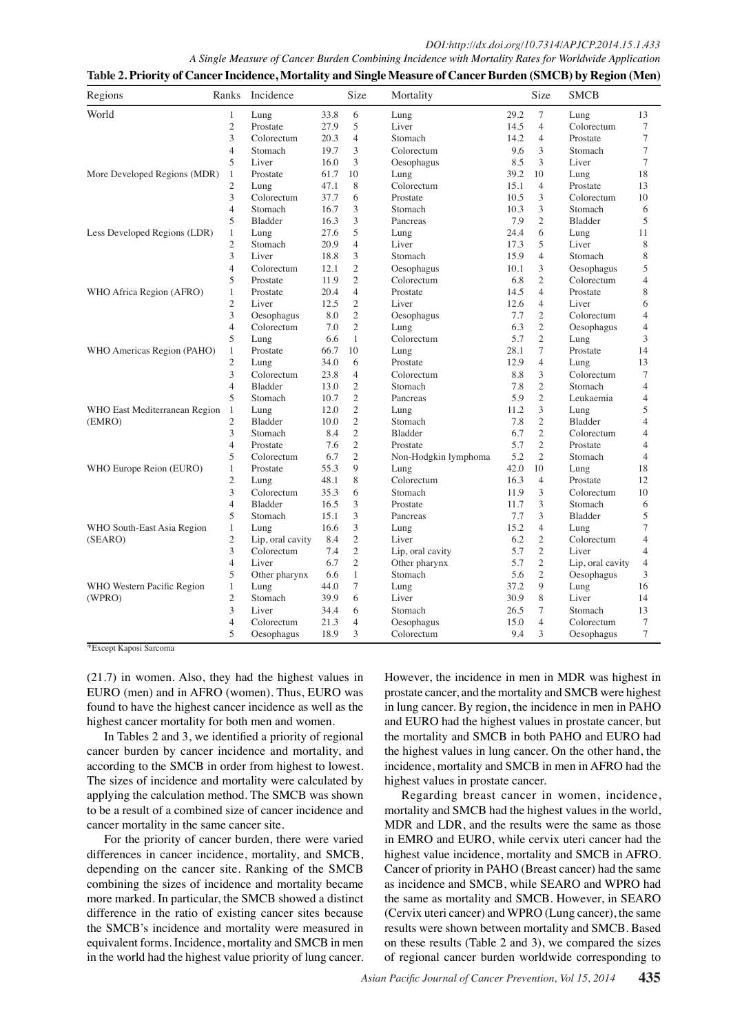| Regions                       | Ranks          | Incidence        |      | Size                   | Mortality                                                                                                                                                                                                                                                                                     |         | Size                        | <b>SMCB</b>      |                |                   |
|-------------------------------|----------------|------------------|------|------------------------|-----------------------------------------------------------------------------------------------------------------------------------------------------------------------------------------------------------------------------------------------------------------------------------------------|---------|-----------------------------|------------------|----------------|-------------------|
| World                         | 1              | Lung             | 33.8 | 6                      | Lung                                                                                                                                                                                                                                                                                          | 29.2    | $\tau$                      | Lung             | 13             |                   |
|                               | $\overline{c}$ | Prostate         | 27.9 | 5                      | Liver                                                                                                                                                                                                                                                                                         | 14.5    | $\overline{4}$              | Colorectum       | $\tau$         |                   |
|                               | 3              | Colorectum       | 20.3 | $rac{4}{3}$ 00.0       | Stomach                                                                                                                                                                                                                                                                                       | 14.2    | $\overline{4}$              | Prostate         | 7              |                   |
|                               | $\overline{4}$ | Stomach          | 19.7 |                        | Colorectum                                                                                                                                                                                                                                                                                    | 9.6     | 3                           | Stomach          | $\tau$         |                   |
|                               | 5              | Liver            | 16.0 | 3                      | Oesophagus                                                                                                                                                                                                                                                                                    | 8.5     | 3                           | Liver            | $\tau$         |                   |
| More Developed Regions (MDR)  | 1              | Prostate         | 61.7 | 10                     | Lung                                                                                                                                                                                                                                                                                          | 39.2    | 10                          | Lung             | 18             |                   |
|                               | $\overline{c}$ | Lung             | 47.1 | 8                      | Colorectum                                                                                                                                                                                                                                                                                    | 15.1    | $\overline{4}$              | Prostate         | 13             |                   |
|                               | 3              | Colorectum       | 37.7 | 675.0                  | Prostate                                                                                                                                                                                                                                                                                      | 10.5    | 3                           | Colorectum       | 10             |                   |
|                               | $\overline{4}$ | Stomach          | 16.7 | 3                      | Stomach                                                                                                                                                                                                                                                                                       | 10.3    | 3                           | Stomach          | 6              |                   |
|                               | 5              | Bladder          | 16.3 | 3                      | Pancreas                                                                                                                                                                                                                                                                                      | 7.9     | $\mathfrak{2}$              | Bladder          | 5              | 100.0             |
| Less Developed Regions (LDR)  | $\mathbf{1}$   | Lung             | 27.6 | 5                      | Lung                                                                                                                                                                                                                                                                                          | 24.4    | 6                           | Lung             | 11             |                   |
|                               | $\overline{c}$ | Stomach          | 20.9 | 450.0                  | Liver                                                                                                                                                                                                                                                                                         | 17.3    | 5                           | Liver            | 8              |                   |
|                               | 3              | Liver            | 18.8 | 3                      | Stomach                                                                                                                                                                                                                                                                                       | 15.9    | $\overline{4}$              | Stomach          | 8              |                   |
|                               | $\overline{4}$ | Colorectum       | 12.1 | $\overline{2}$         | Oesophagus                                                                                                                                                                                                                                                                                    | 10.1    | 3                           | Oesophagus       | 5              | 75.0              |
|                               | 5              | Prostate         | 11.9 | $\overline{c}$         | Colorectum                                                                                                                                                                                                                                                                                    | 6.8     | $\mathfrak{2}$              | Colorectum       | $\overline{4}$ |                   |
| WHO Africa Region (AFRO)      | $\mathbf{1}$   | Prostate         | 20.4 | 4                      | Prostate                                                                                                                                                                                                                                                                                      | 14.5    | $\overline{4}$              | Prostate         | 8              |                   |
|                               | $\overline{c}$ | Liver            | 12.5 | 25.0<br>$\overline{c}$ | Liver                                                                                                                                                                                                                                                                                         | 12.6    | $\overline{4}$              | Liver            | 6              |                   |
|                               | 3              | Oesophagus       | 8.0  | $\mathbf{2}$           | Oesophagus                                                                                                                                                                                                                                                                                    | 7.7     | $\mathfrak{2}$              | Colorectum       | $\overline{4}$ |                   |
|                               | $\overline{4}$ | Colorectum       | 7.0  | $\sqrt{2}$             | Lung                                                                                                                                                                                                                                                                                          | 6.3     | $\sqrt{2}$                  | Oesophagus       | $\overline{4}$ | 50.0              |
|                               | 5              | Lung             | 6.6  | $\mathbf{1}$           | Colorectum                                                                                                                                                                                                                                                                                    | 5.7     | $\mathfrak{2}$              | Lung             | 3              |                   |
| WHO Americas Region (PAHO)    | $\mathbf{1}$   | Prostate         | 66.7 | 10                     | $0$ Lung                                                                                                                                                                                                                                                                                      | 28.1    | $\tau$                      | Prostate         | 14             |                   |
|                               | $\overline{c}$ | Lung             | 34.0 | 6                      |                                                                                                                                                                                                                                                                                               | 12.9    |                             | Lurg             | 13             |                   |
|                               | 3              | Colorectum       | 23.8 | $\overline{4}$         | Prostate $\overline{\text{L}}$<br>Colorectu                                                                                                                                                                                                                                                   | $\,8.8$ | $\frac{84}{53}$             | Colorectum       | $\tau$         | $25.0\text{pc}^2$ |
|                               | $\overline{4}$ | <b>Bladder</b>   | 13.0 | $\mathfrak{2}$         |                                                                                                                                                                                                                                                                                               | 7.8     |                             | Stomach          | $\overline{4}$ |                   |
|                               | 5              | Stomach          | 10.7 | 2                      |                                                                                                                                                                                                                                                                                               | 5.9     | $\frac{5}{8}$ <sup>2</sup>  | Lewaemia         | $\overline{4}$ |                   |
| WHO East Mediterranean Region | $\mathbf{1}$   | Lung             | 12.0 | $\mathfrak{2}$         |                                                                                                                                                                                                                                                                                               | 11.2    | $\overline{6}$ <sup>3</sup> | Lung             | 5              |                   |
| (EMRO)                        | $\overline{c}$ | <b>Bladder</b>   | 10.0 | $\mathfrak{2}$         |                                                                                                                                                                                                                                                                                               | $7.8\,$ |                             | Bladder          | $\overline{4}$ |                   |
|                               | 3              | Stomach          | 8.4  | $\overline{c}$         |                                                                                                                                                                                                                                                                                               | 6.7     | $rac{1}{2}$                 | Colorectum       | $\overline{4}$ | $\bf{0}$          |
|                               | 4              | Prostate         | 7.6  | $\mathfrak{2}$         |                                                                                                                                                                                                                                                                                               | 5.7     |                             | Prostate         | $\overline{4}$ |                   |
|                               | 5              | Colorectum       | 6.7  | $\overline{c}$         |                                                                                                                                                                                                                                                                                               | 5.2     | $\overline{\mathfrak{g}}_2$ | Stomach          | $\overline{4}$ |                   |
| WHO Europe Reion (EURO)       | $\mathbf{1}$   | Prostate         | 55.3 | 9                      |                                                                                                                                                                                                                                                                                               | 42.0    | $\tilde{4}0$                | Lung             | 18             |                   |
|                               | $\mathfrak{2}$ | Lung             | 48.1 | 8                      |                                                                                                                                                                                                                                                                                               | 16.3    | $\overline{4}$              | Prostate         | 12             |                   |
|                               | 3              | Colorectum       | 35.3 | 6                      |                                                                                                                                                                                                                                                                                               | 11.9    | 3                           | Colorectum       | 10             |                   |
|                               | $\overline{4}$ | Bladder          | 16.5 | 3                      | Prostate<br>Prostate<br>Colorectu <b>de</b><br>Stomach serves and the prostate<br>Pancreas and the prostate<br>Lung<br>Stomach serves are prosed by the prostate<br>Colorectude<br>Stomach $\geq$<br>Prostate<br>Prostate<br>Prostate<br>Stomach $\geq$<br>Prostate $\geq$<br>Pancreas $\geq$ | 11.7    | 3                           | Stomach          | 6              |                   |
|                               | 5              | Stomach          | 15.1 | 3                      |                                                                                                                                                                                                                                                                                               | 7.7     | 3                           | Bladder          | 5              |                   |
| WHO South-East Asia Region    | $\mathbf{1}$   | Lung             | 16.6 | 3                      | Lung                                                                                                                                                                                                                                                                                          | 15.2    | $\overline{4}$              | Lung             | $\tau$         |                   |
| (SEARO)                       | $\overline{c}$ | Lip, oral cavity | 8.4  | $\mathfrak{2}$         | Liver                                                                                                                                                                                                                                                                                         | 6.2     | $\mathfrak{2}$              | Colorectum       | $\overline{4}$ |                   |
|                               | 3              | Colorectum       | 7.4  | $\sqrt{2}$             | Lip, oral cavity                                                                                                                                                                                                                                                                              | 5.7     | $\mathfrak{2}$              | Liver            | $\overline{4}$ |                   |
|                               | $\overline{4}$ | Liver            | 6.7  | $\mathfrak{2}$         | Other pharynx                                                                                                                                                                                                                                                                                 | 5.7     | $\sqrt{2}$                  | Lip, oral cavity | $\overline{4}$ |                   |
|                               | 5              | Other pharynx    | 6.6  | $\mathbf{1}$           | Stomach                                                                                                                                                                                                                                                                                       | 5.6     | $\mathfrak{2}$              | Oesophagus       | 3              |                   |
| WHO Western Pacific Region    | $\mathbf{1}$   | Lung             | 44.0 | $\tau$                 | Lung                                                                                                                                                                                                                                                                                          | 37.2    | 9                           | Lung             | 16             |                   |
| (WPRO)                        | $\overline{c}$ | Stomach          | 39.9 | 6                      | Liver                                                                                                                                                                                                                                                                                         | 30.9    | 8                           | Liver            | 14             |                   |
|                               | 3              | Liver            | 34.4 | 6                      | Stomach                                                                                                                                                                                                                                                                                       | 26.5    | $\tau$                      | Stomach          | 13             |                   |
|                               | $\overline{4}$ | Colorectum       | 21.3 | $\overline{4}$         | Oesophagus                                                                                                                                                                                                                                                                                    | 15.0    | $\overline{4}$              | Colorectum       | 7              |                   |
|                               | 5              | Oesophagus       | 18.9 | 3                      | Colorectum                                                                                                                                                                                                                                                                                    | 9.4     | 3                           | Oesophagus       | 7              |                   |
|                               |                |                  |      |                        |                                                                                                                                                                                                                                                                                               |         |                             |                  |                |                   |

**Table 2. Priority of Cancer Incidence, Mortality and Single Measure of Cancer Burden (SMCB) by Region (Men)**

\*Except Kaposi Sarcoma

(21.7) in women. Also, they had the highest values in EURO (men) and in AFRO (women). Thus, EURO was found to have the highest cancer incidence as well as the highest cancer mortality for both men and women.

In Tables 2 and 3, we identified a priority of regional cancer burden by cancer incidence and mortality, and according to the SMCB in order from highest to lowest. The sizes of incidence and mortality were calculated by applying the calculation method. The SMCB was shown to be a result of a combined size of cancer incidence and cancer mortality in the same cancer site.

For the priority of cancer burden, there were varied differences in cancer incidence, mortality, and SMCB, depending on the cancer site. Ranking of the SMCB combining the sizes of incidence and mortality became more marked. In particular, the SMCB showed a distinct difference in the ratio of existing cancer sites because the SMCB's incidence and mortality were measured in equivalent forms. Incidence, mortality and SMCB in men in the world had the highest value priority of lung cancer.

However, the incidence in men in MDR was highest in prostate cancer, and the mortality and SMCB were highest in lung cancer. By region, the incidence in men in PAHO and EURO had the highest values in prostate cancer, but the mortality and SMCB in both PAHO and EURO had the highest values in lung cancer. On the other hand, the incidence, mortality and SMCB in men in AFRO had the highest values in prostate cancer.

Regarding breast cancer in women, incidence, mortality and SMCB had the highest values in the world, MDR and LDR, and the results were the same as those in EMRO and EURO, while cervix uteri cancer had the highest value incidence, mortality and SMCB in AFRO. Cancer of priority in PAHO (Breast cancer) had the same as incidence and SMCB, while SEARO and WPRO had the same as mortality and SMCB. However, in SEARO (Cervix uteri cancer) and WPRO (Lung cancer), the same results were shown between mortality and SMCB. Based on these results (Table 2 and 3), we compared the sizes of regional cancer burden worldwide corresponding to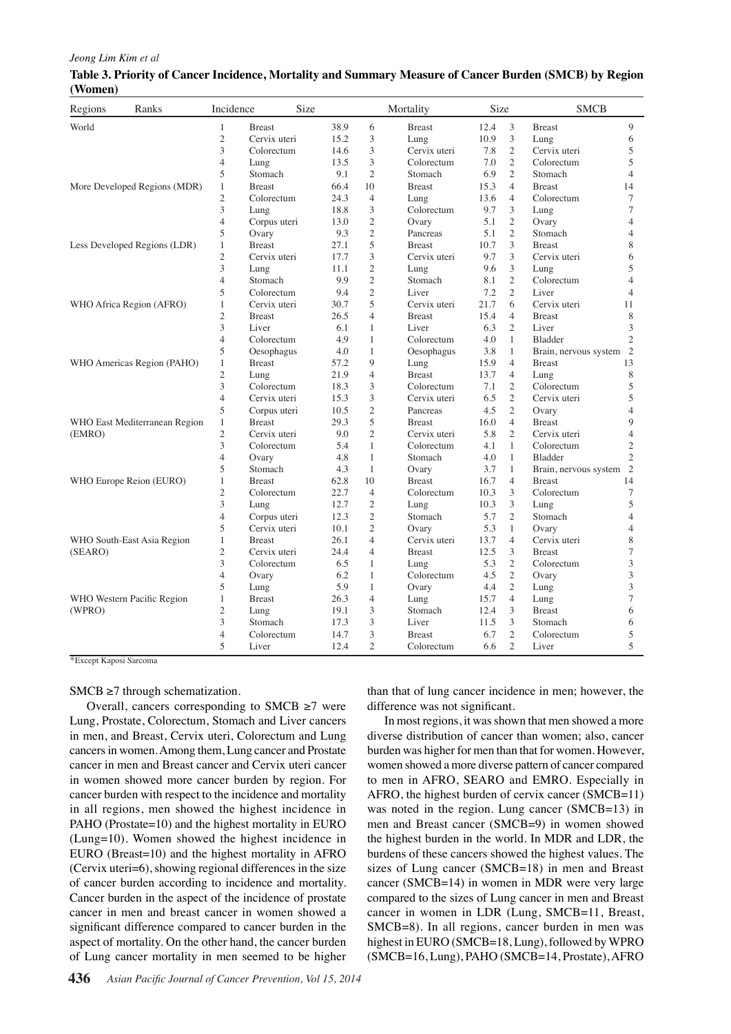| Jeong Lim Kim et al |  |
|---------------------|--|
|---------------------|--|

| Regions | Ranks                         | Incidence                | Size          |      |                                     | Mortality                               |                             | Size    |                                                         | <b>SMCB</b>              |                |
|---------|-------------------------------|--------------------------|---------------|------|-------------------------------------|-----------------------------------------|-----------------------------|---------|---------------------------------------------------------|--------------------------|----------------|
| World   |                               | $\mathbf{1}$             | <b>Breast</b> | 38.9 | 6                                   | <b>Breast</b>                           |                             | 12.4    | 3                                                       | <b>Breast</b>            | 9              |
|         |                               | $\overline{c}$           | Cervix uteri  |      | $^{15}_{14.6}$ 0.0 $^{3}_{3}$       | Lung                                    |                             | 10.9    | 3                                                       | Lung                     | 6              |
|         |                               | 3                        | Colorectum    |      |                                     | Cervix uteri                            |                             | 7.8     | $\overline{2}$                                          | Cervix uteri             | 5              |
|         |                               | $\overline{4}$           | Lung          | 13.5 | 3                                   | Colorectum                              |                             | 7.0     | $\overline{c}$                                          | Colorectum               | 5              |
|         |                               | 5                        | Stomach       | 9.1  | $\overline{2}$                      | Stomach                                 |                             | 6.9     | $\overline{2}$                                          | Stomach                  | $\overline{4}$ |
|         | More Developed Regions (MDR)  | $\mathbf{1}$             | <b>Breast</b> | 66.4 | 10                                  | <b>Breast</b>                           |                             | 15.3    | $\overline{4}$                                          | <b>Breast</b>            | 14             |
|         |                               | $\overline{2}$           | Colorectum    |      | 24.75.04                            | Lung                                    |                             | 13.6    | $\overline{4}$                                          | Colorectum               | $\tau$         |
|         |                               | 3                        | Lung          | 18.8 | 3                                   | Colorectum                              |                             | 9.7     | 3                                                       | Lung                     | $\tau$         |
|         |                               | $\overline{4}$           | Corpus uteri  | 13.0 | $\overline{c}$                      | Ovary                                   |                             | 5.1     | $\overline{2}$                                          | Ovary                    | $\overline{4}$ |
|         |                               | 5                        | Ovary         | 9.3  | $\mathbf{2}$                        | Pancreas                                |                             | 5.1     | $\overline{2}$                                          | Stomach                  | $\overline{4}$ |
|         | Less Developed Regions (LDR)  | $\mathbf{1}$             | <b>Breast</b> |      | 27.50.05                            | <b>Breast</b>                           |                             | 10.7    | 3                                                       | <b>Breast</b>            | 8              |
|         |                               | $\overline{c}$           | Cervix uteri  | 17.7 | 3                                   | Cervix uteri                            |                             | 9.7     | 3                                                       | Cervix uteri             | 6              |
|         |                               | 3                        | Lung          | 11.1 | $\mathfrak{2}$                      | Lung                                    |                             | 9.6     | 3                                                       | Lung                     | 5              |
|         |                               | $\overline{4}$           | Stomach       | 9.9  | $\overline{2}$                      | Stomach                                 |                             | 8.1     | $\mathfrak{2}$                                          | Colorectum               | $\overline{4}$ |
|         |                               | 5                        | Colorectum    |      | $\frac{9.4}{30.7}$ 5.0 <sup>2</sup> | Liver                                   |                             | 7.2     | $\overline{2}$                                          | Liver                    | $\overline{4}$ |
|         | WHO Africa Region (AFRO)      | $\mathbf{1}$             | Cervix uteri  |      |                                     | Cervix uteri                            |                             | 21.7    | 6                                                       | Cervix uteri             | 11             |
|         |                               | $\overline{c}$           | <b>Breast</b> | 26.5 | $\overline{4}$                      | <b>Breast</b>                           |                             | 15.4    | $\overline{4}$                                          | <b>Breast</b>            | 8              |
|         |                               | 3                        | Liver         | 6.1  | $\mathbf{1}$                        | Liver                                   |                             | 6.3     | $\overline{2}$                                          | Liver                    | 3              |
|         |                               | $\overline{4}$           | Colorectum    | 4.9  | $\mathbf{1}$                        | Colorectum                              |                             | 4.0     | $\mathbf{1}$                                            | Bladder                  | $\overline{2}$ |
|         |                               | 5                        | Oesophagus    | 4.0  | $\mathbf{0}_1$                      | Oesophagus                              |                             | 3.8     | $\mathbf{1}$                                            | Brain, nervous system 2  |                |
|         | WHO Americas Region (PAHO)    | $\mathbf{1}$             | <b>Breast</b> | 57.2 | 9                                   | L <sub>HH2</sub>                        |                             | 15.9    | $4400$ $2200$ $220$                                     | Breast 5<br>Lung 5       | 13             |
|         |                               | $\overline{c}$           | Lung          | 21.9 | $\overline{4}$                      | $B\overline{B}$ ast                     |                             | 13.7    |                                                         |                          | 8              |
|         |                               | 3                        | Colorectum    | 18.3 | 3                                   | $C_{\overline{B}}$ orectum              | treatment                   | 7.1     |                                                         | $Colorect \overline{a}m$ | 5              |
|         |                               | $\overline{4}$           | Cervix uteri  | 15.3 | 3                                   | $C_{\mathbf{B}}^{\mathbf{U}}$ vix uteri |                             | 6.5     |                                                         | Cervix uteri             | 5              |
|         |                               | 5                        | Corpus uteri  | 10.5 | $\mathfrak{2}$                      | Pancreas                                |                             | $4.5\,$ | $2\overline{5}$                                         | Ovary                    | $\overline{4}$ |
|         | WHO East Mediterranean Region | $\mathbf{1}$             | <b>Breast</b> | 29.3 | 5                                   | <b>B</b> east                           |                             | 16.0    |                                                         | <b>Breast</b>            | 9              |
| (EMRO)  |                               | $\overline{c}$           | Cervix uteri  | 9.0  | $\overline{2}$                      | $C\bar{S}$ vix uteri                    |                             | 5.8     | $422$<br>$11$<br>$1$<br>$1$<br>$1$<br>$1$<br>$1$<br>$1$ | Cervix uteri             | $\overline{4}$ |
|         |                               | 3                        | Colorectum    | 5.4  | $\mathbf{1}$                        | Colorectum                              |                             | 4.1     |                                                         | Colorectum               | $\overline{c}$ |
|         |                               | $\overline{4}$           | Ovary         | 4.8  | $\mathbf{1}$                        | S∯mach                                  |                             | $4.0\,$ |                                                         | Bladder                  | $\overline{2}$ |
|         |                               | 5                        | Stomach       | 4.3  | $\mathbf{1}$                        | $\overline{\mathrm{O}}$ ary             |                             | 3.7     |                                                         | Brain, nervous system    | $\overline{2}$ |
|         | WHO Europe Reion (EURO)       | $\mathbf{1}$             | <b>Breast</b> | 62.8 | 10                                  | $B_{\rm E}^{\bar \sigma}$ ast           | <b>Newly diagnosed with</b> | 16.7    | $\overline{4}$                                          | <b>Breast</b>            | 14             |
|         |                               | $\overline{2}$           | Colorectum    | 22.7 | $\overline{4}$                      | Colorectum                              |                             | 10.3    | 3                                                       | Colorectum               | $\overline{7}$ |
|         |                               | 3                        | Lung          | 12.7 | $\overline{2}$                      | Lung                                    |                             | 10.3    | 3                                                       | Lung                     | 5              |
|         |                               | $\overline{\mathcal{L}}$ | Corpus uteri  | 12.3 | $\mathfrak{2}$                      | $S\overline{\rm f}$ <sub>omach</sub>    |                             | 5.7     | $\overline{2}$                                          | Stomach                  | $\overline{4}$ |
|         |                               | 5                        | Cervix uteri  | 10.1 | $\overline{c}$                      | Ovary                                   |                             | 5.3     | $\mathbf{1}$                                            | Ovary                    | $\overline{4}$ |
|         | WHO South-East Asia Region    | $\mathbf{1}$             | <b>Breast</b> | 26.1 | $\overline{4}$                      | Cervix uteri                            |                             | 13.7    | $\overline{4}$                                          | Cervix uteri             | 8              |
| (SEARO) |                               | $\overline{c}$           | Cervix uteri  | 24.4 | 4                                   | <b>Breast</b>                           |                             | 12.5    | 3                                                       | <b>Breast</b>            | $\overline{7}$ |
|         |                               | 3                        | Colorectum    | 6.5  | $\mathbf{1}$                        | Lung                                    |                             | 5.3     | $\mathfrak{2}$                                          | Colorectum               | 3              |
|         |                               | $\overline{4}$           | Ovary         | 6.2  | $\mathbf{1}$                        | Colorectum                              |                             | 4.5     | $\overline{2}$                                          | Ovary                    | 3              |
|         |                               | 5                        | Lung          | 5.9  | $\mathbf{1}$                        | Ovary                                   |                             | 4.4     | $\overline{2}$                                          | Lung                     | 3              |
|         | WHO Western Pacific Region    | $\mathbf{1}$             | <b>Breast</b> | 26.3 | $\overline{4}$                      | Lung                                    |                             | 15.7    | $\overline{4}$                                          | Lung                     | $\overline{7}$ |
| (WPRO)  |                               | $\overline{c}$           | Lung          | 19.1 | 3                                   | Stomach                                 |                             | 12.4    | 3                                                       | <b>Breast</b>            | 6              |
|         |                               | 3                        | Stomach       | 17.3 | 3                                   | Liver                                   |                             | 11.5    | 3                                                       | Stomach                  | 6              |
|         |                               | $\overline{4}$           | Colorectum    | 14.7 | 3                                   | <b>Breast</b>                           |                             | 6.7     | $\overline{2}$                                          | Colorectum               | 5              |
|         |                               | $\overline{5}$           | Liver         | 12.4 | $\mathfrak{D}$                      | Colorectum                              |                             | 6.6     | $\mathfrak{D}$                                          | Liver                    | 5              |

# **Table 3. Priority of Cancer Incidence, Mortality and Summary Measure of Cancer Burden (SMCB) by Region (Women)**

\*Except Kaposi Sarcoma

 $SMCB \geq 7$  through schematization.

Overall, cancers corresponding to SMCB  $\geq$ 7 were Lung, Prostate, Colorectum, Stomach and Liver cancers in men, and Breast, Cervix uteri, Colorectum and Lung cancers in women. Among them, Lung cancer and Prostate cancer in men and Breast cancer and Cervix uteri cancer in women showed more cancer burden by region. For cancer burden with respect to the incidence and mortality in all regions, men showed the highest incidence in PAHO (Prostate=10) and the highest mortality in EURO (Lung=10). Women showed the highest incidence in EURO (Breast=10) and the highest mortality in AFRO (Cervix uteri=6), showing regional differences in the size of cancer burden according to incidence and mortality. Cancer burden in the aspect of the incidence of prostate cancer in men and breast cancer in women showed a significant difference compared to cancer burden in the aspect of mortality. On the other hand, the cancer burden of Lung cancer mortality in men seemed to be higher than that of lung cancer incidence in men; however, the difference was not significant.

In most regions, it was shown that men showed a more diverse distribution of cancer than women; also, cancer burden was higher for men than that for women. However, women showed a more diverse pattern of cancer compared to men in AFRO, SEARO and EMRO. Especially in AFRO, the highest burden of cervix cancer (SMCB=11) was noted in the region. Lung cancer (SMCB=13) in men and Breast cancer (SMCB=9) in women showed the highest burden in the world. In MDR and LDR, the burdens of these cancers showed the highest values. The sizes of Lung cancer (SMCB=18) in men and Breast cancer (SMCB=14) in women in MDR were very large compared to the sizes of Lung cancer in men and Breast cancer in women in LDR (Lung, SMCB=11, Breast, SMCB=8). In all regions, cancer burden in men was highest in EURO (SMCB=18, Lung), followed by WPRO (SMCB=16, Lung), PAHO (SMCB=14, Prostate), AFRO None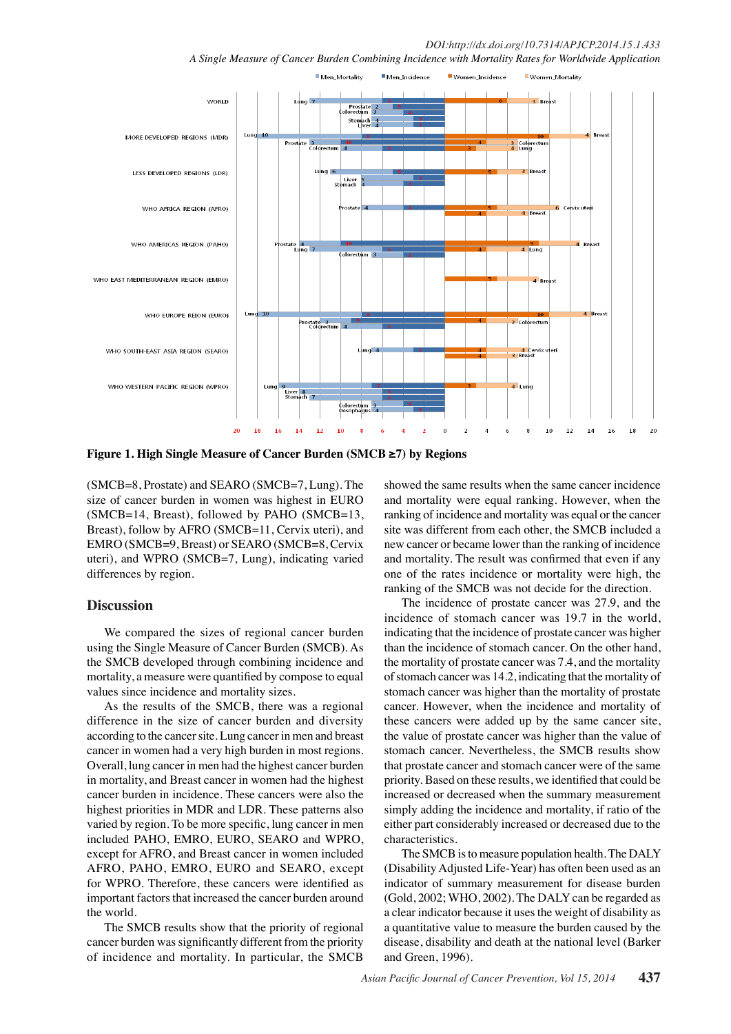*DOI:http://dx.doi.org/10.7314/APJCP.2014.15.1.433 A Single Measure of Cancer Burden Combining Incidence with Mortality Rates for Worldwide Application*



Figure 1. High Single Measure of Cancer Burden (SMCB ≥7) by Regions

(SMCB=8, Prostate) and SEARO (SMCB=7, Lung). The size of cancer burden in women was highest in EURO (SMCB=14, Breast), followed by PAHO (SMCB=13, Breast), follow by AFRO (SMCB=11, Cervix uteri), and EMRO (SMCB=9, Breast) or SEARO (SMCB=8, Cervix uteri), and WPRO (SMCB=7, Lung), indicating varied differences by region.

## **Discussion**

We compared the sizes of regional cancer burden using the Single Measure of Cancer Burden (SMCB). As the SMCB developed through combining incidence and mortality, a measure were quantified by compose to equal values since incidence and mortality sizes.

As the results of the SMCB, there was a regional difference in the size of cancer burden and diversity according to the cancer site. Lung cancer in men and breast cancer in women had a very high burden in most regions. Overall, lung cancer in men had the highest cancer burden in mortality, and Breast cancer in women had the highest cancer burden in incidence. These cancers were also the highest priorities in MDR and LDR. These patterns also varied by region. To be more specific, lung cancer in men included PAHO, EMRO, EURO, SEARO and WPRO, except for AFRO, and Breast cancer in women included AFRO, PAHO, EMRO, EURO and SEARO, except for WPRO. Therefore, these cancers were identified as important factors that increased the cancer burden around the world.

The SMCB results show that the priority of regional cancer burden was significantly different from the priority of incidence and mortality. In particular, the SMCB

showed the same results when the same cancer incidence and mortality were equal ranking. However, when the ranking of incidence and mortality was equal or the cancer site was different from each other, the SMCB included a new cancer or became lower than the ranking of incidence and mortality. The result was confirmed that even if any one of the rates incidence or mortality were high, the ranking of the SMCB was not decide for the direction.

The incidence of prostate cancer was 27.9, and the incidence of stomach cancer was 19.7 in the world, indicating that the incidence of prostate cancer was higher than the incidence of stomach cancer. On the other hand, the mortality of prostate cancer was 7.4, and the mortality of stomach cancer was 14.2, indicating that the mortality of stomach cancer was higher than the mortality of prostate cancer. However, when the incidence and mortality of these cancers were added up by the same cancer site, the value of prostate cancer was higher than the value of stomach cancer. Nevertheless, the SMCB results show that prostate cancer and stomach cancer were of the same priority. Based on these results, we identified that could be increased or decreased when the summary measurement simply adding the incidence and mortality, if ratio of the either part considerably increased or decreased due to the characteristics.

The SMCB is to measure population health. The DALY (Disability Adjusted Life-Year) has often been used as an indicator of summary measurement for disease burden (Gold, 2002; WHO, 2002). The DALY can be regarded as a clear indicator because it uses the weight of disability as a quantitative value to measure the burden caused by the disease, disability and death at the national level (Barker and Green, 1996).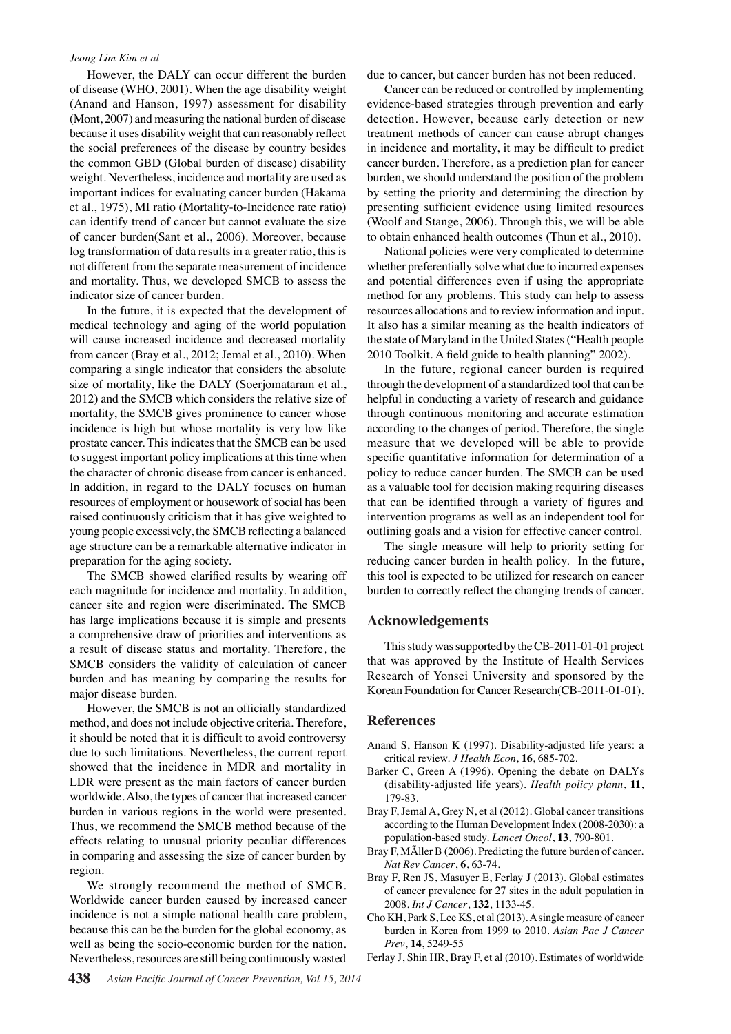#### *Jeong Lim Kim et al*

However, the DALY can occur different the burden of disease (WHO, 2001). When the age disability weight (Anand and Hanson, 1997) assessment for disability (Mont, 2007) and measuring the national burden of disease because it uses disability weight that can reasonably reflect the social preferences of the disease by country besides the common GBD (Global burden of disease) disability weight. Nevertheless, incidence and mortality are used as important indices for evaluating cancer burden (Hakama et al., 1975), MI ratio (Mortality-to-Incidence rate ratio) can identify trend of cancer but cannot evaluate the size of cancer burden(Sant et al., 2006). Moreover, because log transformation of data results in a greater ratio, this is not different from the separate measurement of incidence and mortality. Thus, we developed SMCB to assess the indicator size of cancer burden.

In the future, it is expected that the development of medical technology and aging of the world population will cause increased incidence and decreased mortality from cancer (Bray et al., 2012; Jemal et al., 2010). When comparing a single indicator that considers the absolute size of mortality, like the DALY (Soerjomataram et al., 2012) and the SMCB which considers the relative size of mortality, the SMCB gives prominence to cancer whose incidence is high but whose mortality is very low like prostate cancer. This indicates that the SMCB can be used to suggest important policy implications at this time when the character of chronic disease from cancer is enhanced. In addition, in regard to the DALY focuses on human resources of employment or housework of social has been raised continuously criticism that it has give weighted to young people excessively, the SMCB reflecting a balanced age structure can be a remarkable alternative indicator in preparation for the aging society.

The SMCB showed clarified results by wearing off each magnitude for incidence and mortality. In addition, cancer site and region were discriminated. The SMCB has large implications because it is simple and presents a comprehensive draw of priorities and interventions as a result of disease status and mortality. Therefore, the SMCB considers the validity of calculation of cancer burden and has meaning by comparing the results for major disease burden.

However, the SMCB is not an officially standardized method, and does not include objective criteria. Therefore, it should be noted that it is difficult to avoid controversy due to such limitations. Nevertheless, the current report showed that the incidence in MDR and mortality in LDR were present as the main factors of cancer burden worldwide. Also, the types of cancer that increased cancer burden in various regions in the world were presented. Thus, we recommend the SMCB method because of the effects relating to unusual priority peculiar differences in comparing and assessing the size of cancer burden by region.

We strongly recommend the method of SMCB. Worldwide cancer burden caused by increased cancer incidence is not a simple national health care problem, because this can be the burden for the global economy, as well as being the socio-economic burden for the nation. Nevertheless, resources are still being continuously wasted

due to cancer, but cancer burden has not been reduced.

(Woolf and Stange, 2006). Through this, we will be able00.0 Cancer can be reduced or controlled by implementing evidence-based strategies through prevention and early detection. However, because early detection or new treatment methods of cancer can cause abrupt changes in incidence and mortality, it may be difficult to predict cancer burden. Therefore, as a prediction plan for cancer burden, we should understand the position of the problem by setting the priority and determining the direction by presenting sufficient evidence using limited resources to obtain enhanced health outcomes (Thun et al., 2010).

It also has a similar meaning as the health indicators of 50.0 whether preferentially solve what due to incurred expenses **75.0** National policies were very complicated to determine and potential differences even if using the appropriate method for any problems. This study can help to assess resources allocations and to review information and input. the state of Maryland in the United States ("Health people 2010 Toolkit. A field guide to health planning" 2002).

0 0 In the future, regional cancer burden is required 25.0 through the development of a standardized tool that can be helpful in conducting a variety of research and guidance through continuous monitoring and accurate estimation according to the changes of period. Therefore, the single measure that we developed will be able to provide specific quantitative information for determination of a policy to reduce cancer burden. The SMCB can be used as a valuable tool for decision making requiring diseases that can be identified through a variety of figures and intervention programs as well as an independent tool for outlining goals and a vision for effective cancer control.

The single measure will help to priority setting for reducing cancer burden in health policy. In the future, this tool is expected to be utilized for research on cancer burden to correctly reflect the changing trends of cancer.

## **Acknowledgements**

This study was supported by the CB-2011-01-01 project that was approved by the Institute of Health Services Research of Yonsei University and sponsored by the Korean Foundation for Cancer Research(CB-2011-01-01).

## **References**

- Anand S, Hanson K (1997). Disability-adjusted life years: a critical review. *J Health Econ*, **16**, 685-702.
- Barker C, Green A (1996). Opening the debate on DALYs (disability-adjusted life years). *Health policy plann*, **11**, 179-83.
- Bray F, Jemal A, Grey N, et al (2012). Global cancer transitions according to the Human Development Index (2008-2030): a population-based study. *Lancet Oncol*, **13**, 790-801.
- Bray F, MÃller B (2006). Predicting the future burden of cancer. *Nat Rev Cancer*, **6**, 63-74.
- Bray F, Ren JS, Masuyer E, Ferlay J (2013). Global estimates of cancer prevalence for 27 sites in the adult population in 2008. *Int J Cancer*, **132**, 1133-45.
- Cho KH, Park S, Lee KS, et al (2013). A single measure of cancer burden in Korea from 1999 to 2010. *Asian Pac J Cancer Prev*, **14**, 5249-55
- Ferlay J, Shin HR, Bray F, et al (2010). Estimates of worldwide